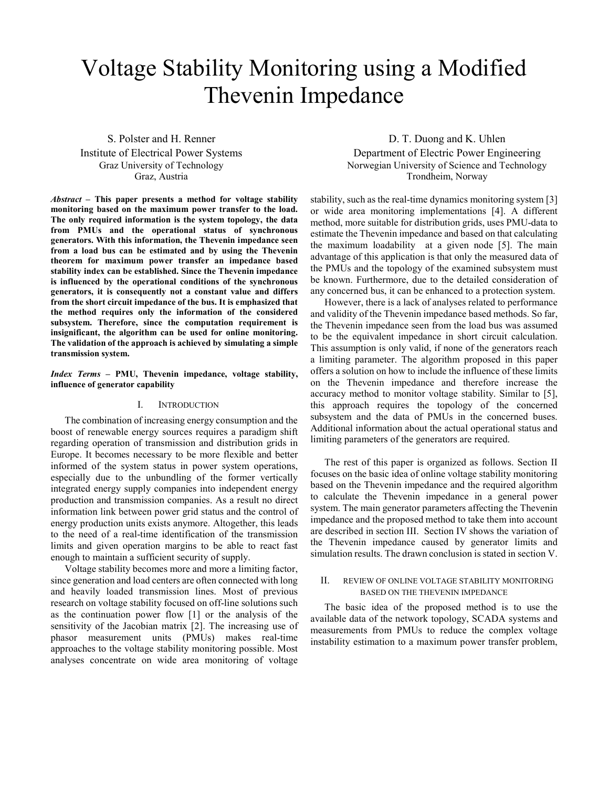# Voltage Stability Monitoring using a Modified Thevenin Impedance

S. Polster and H. Renner Institute of Electrical Power Systems Graz University of Technology Graz, Austria

Abstract – This paper presents a method for voltage stability monitoring based on the maximum power transfer to the load. The only required information is the system topology, the data from PMUs and the operational status of synchronous generators. With this information, the Thevenin impedance seen from a load bus can be estimated and by using the Thevenin theorem for maximum power transfer an impedance based stability index can be established. Since the Thevenin impedance is influenced by the operational conditions of the synchronous generators, it is consequently not a constant value and differs from the short circuit impedance of the bus. It is emphasized that the method requires only the information of the considered subsystem. Therefore, since the computation requirement is insignificant, the algorithm can be used for online monitoring. The validation of the approach is achieved by simulating a simple transmission system.

Index Terms – PMU, Thevenin impedance, voltage stability, influence of generator capability

### I. INTRODUCTION

The combination of increasing energy consumption and the boost of renewable energy sources requires a paradigm shift regarding operation of transmission and distribution grids in Europe. It becomes necessary to be more flexible and better informed of the system status in power system operations, especially due to the unbundling of the former vertically integrated energy supply companies into independent energy production and transmission companies. As a result no direct information link between power grid status and the control of energy production units exists anymore. Altogether, this leads to the need of a real-time identification of the transmission limits and given operation margins to be able to react fast enough to maintain a sufficient security of supply.

Voltage stability becomes more and more a limiting factor, since generation and load centers are often connected with long and heavily loaded transmission lines. Most of previous research on voltage stability focused on off-line solutions such as the continuation power flow [1] or the analysis of the sensitivity of the Jacobian matrix [2]. The increasing use of phasor measurement units (PMUs) makes real-time approaches to the voltage stability monitoring possible. Most analyses concentrate on wide area monitoring of voltage

D. T. Duong and K. Uhlen Department of Electric Power Engineering Norwegian University of Science and Technology Trondheim, Norway

stability, such as the real-time dynamics monitoring system [3] or wide area monitoring implementations [4]. A different method, more suitable for distribution grids, uses PMU-data to estimate the Thevenin impedance and based on that calculating the maximum loadability at a given node [5]. The main advantage of this application is that only the measured data of the PMUs and the topology of the examined subsystem must be known. Furthermore, due to the detailed consideration of any concerned bus, it can be enhanced to a protection system.

However, there is a lack of analyses related to performance and validity of the Thevenin impedance based methods. So far, the Thevenin impedance seen from the load bus was assumed to be the equivalent impedance in short circuit calculation. This assumption is only valid, if none of the generators reach a limiting parameter. The algorithm proposed in this paper offers a solution on how to include the influence of these limits on the Thevenin impedance and therefore increase the accuracy method to monitor voltage stability. Similar to [5], this approach requires the topology of the concerned subsystem and the data of PMUs in the concerned buses. Additional information about the actual operational status and limiting parameters of the generators are required.

The rest of this paper is organized as follows. Section II focuses on the basic idea of online voltage stability monitoring based on the Thevenin impedance and the required algorithm to calculate the Thevenin impedance in a general power system. The main generator parameters affecting the Thevenin impedance and the proposed method to take them into account are described in section III. Section IV shows the variation of the Thevenin impedance caused by generator limits and simulation results. The drawn conclusion is stated in section V.

## II. REVIEW OF ONLINE VOLTAGE STABILITY MONITORING BASED ON THE THEVENIN IMPEDANCE

The basic idea of the proposed method is to use the available data of the network topology, SCADA systems and measurements from PMUs to reduce the complex voltage instability estimation to a maximum power transfer problem,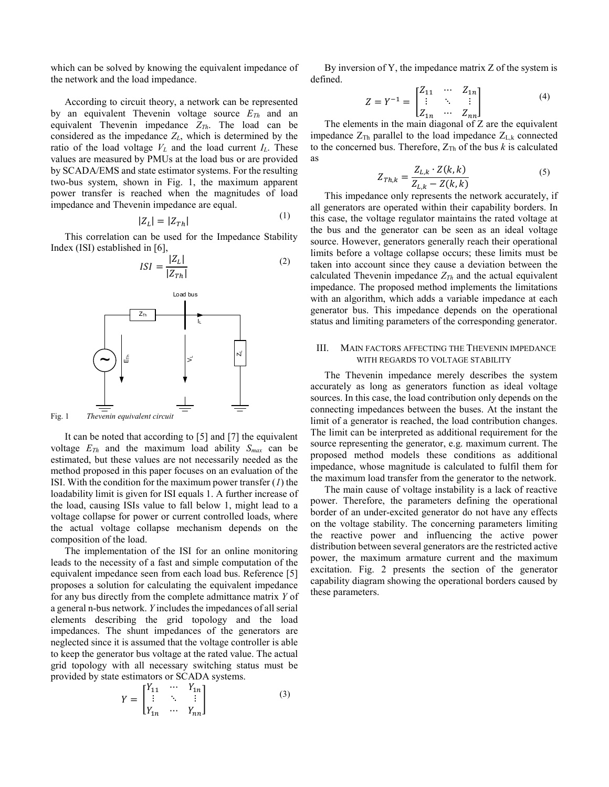which can be solved by knowing the equivalent impedance of the network and the load impedance.

According to circuit theory, a network can be represented by an equivalent Thevenin voltage source  $E_{Th}$  and an equivalent Thevenin impedance  $Z_{Th}$ . The load can be considered as the impedance  $Z_L$ , which is determined by the ratio of the load voltage  $V_L$  and the load current  $I_L$ . These values are measured by PMUs at the load bus or are provided by SCADA/EMS and state estimator systems. For the resulting two-bus system, shown in Fig. 1, the maximum apparent power transfer is reached when the magnitudes of load impedance and Thevenin impedance are equal.  $(1)$ 

$$
|Z_L| = |Z_{Th}| \tag{1}
$$

This correlation can be used for the Impedance Stability Index (ISI) established in [6],

$$
ISI = \frac{|Z_L|}{|Z_{Th}|} \tag{2}
$$



Fig. 1 Thevenin equivalent circuit

It can be noted that according to [5] and [7] the equivalent voltage  $E_{Th}$  and the maximum load ability  $S_{max}$  can be estimated, but these values are not necessarily needed as the method proposed in this paper focuses on an evaluation of the ISI. With the condition for the maximum power transfer  $(1)$  the loadability limit is given for ISI equals 1. A further increase of the load, causing ISIs value to fall below 1, might lead to a voltage collapse for power or current controlled loads, where the actual voltage collapse mechanism depends on the composition of the load.

The implementation of the ISI for an online monitoring leads to the necessity of a fast and simple computation of the equivalent impedance seen from each load bus. Reference [5] proposes a solution for calculating the equivalent impedance for any bus directly from the complete admittance matrix Y of a general n-bus network. Y includes the impedances of all serial elements describing the grid topology and the load impedances. The shunt impedances of the generators are neglected since it is assumed that the voltage controller is able to keep the generator bus voltage at the rated value. The actual grid topology with all necessary switching status must be provided by state estimators or SCADA systems.

$$
Y = \begin{bmatrix} Y_{11} & \cdots & Y_{1n} \\ \vdots & \ddots & \vdots \\ Y_{1n} & \cdots & Y_{nn} \end{bmatrix}
$$
 (3)

By inversion of Y, the impedance matrix Z of the system is defined.

$$
Z = Y^{-1} = \begin{bmatrix} Z_{11} & \cdots & Z_{1n} \\ \vdots & \ddots & \vdots \\ Z_{1n} & \cdots & Z_{nn} \end{bmatrix}
$$
 (4)

The elements in the main diagonal of Z are the equivalent impedance  $Z_{Th}$  parallel to the load impedance  $Z_{L,k}$  connected to the concerned bus. Therefore,  $Z_{Th}$  of the bus k is calculated as

$$
Z_{Th,k} = \frac{Z_{L,k} \cdot Z(k,k)}{Z_{L,k} - Z(k,k)}\tag{5}
$$

Load bus with an algorithm, which adds a variable impedance at each IL status and limiting parameters of the corresponding generator. This impedance only represents the network accurately, if all generators are operated within their capability borders. In this case, the voltage regulator maintains the rated voltage at the bus and the generator can be seen as an ideal voltage source. However, generators generally reach their operational limits before a voltage collapse occurs; these limits must be taken into account since they cause a deviation between the calculated Thevenin impedance  $Z_{Th}$  and the actual equivalent impedance. The proposed method implements the limitations generator bus. This impedance depends on the operational

# $\mathbb{R}^{\mathbb{N}}$  with REGARDS TO VOLTAGE STABILITY III. MAIN FACTORS AFFECTING THE THEVENIN IMPEDANCE

The Thevenin impedance merely describes the system accurately as long as generators function as ideal voltage sources. In this case, the load contribution only depends on the connecting impedances between the buses. At the instant the limit of a generator is reached, the load contribution changes. The limit can be interpreted as additional requirement for the source representing the generator, e.g. maximum current. The proposed method models these conditions as additional impedance, whose magnitude is calculated to fulfil them for the maximum load transfer from the generator to the network.

The main cause of voltage instability is a lack of reactive power. Therefore, the parameters defining the operational border of an under-excited generator do not have any effects on the voltage stability. The concerning parameters limiting the reactive power and influencing the active power distribution between several generators are the restricted active power, the maximum armature current and the maximum excitation. Fig. 2 presents the section of the generator capability diagram showing the operational borders caused by these parameters.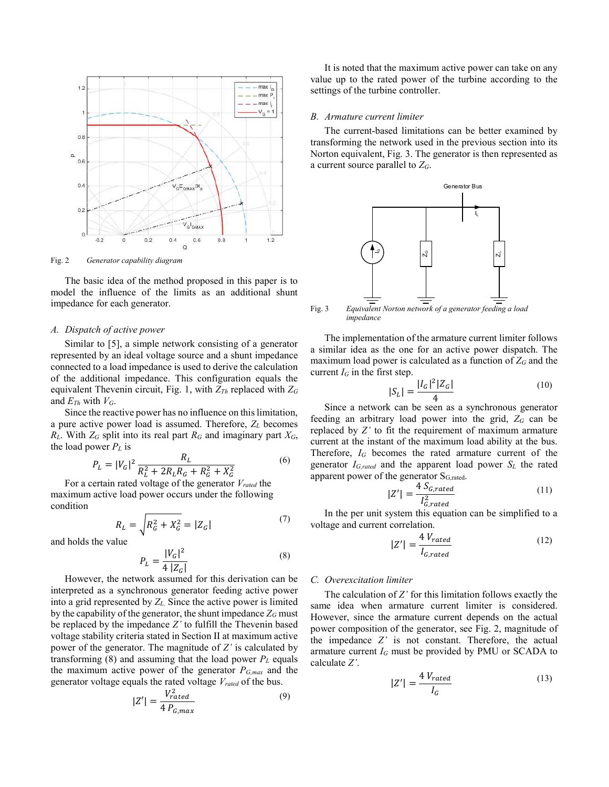

Fig. 2 Generator capability diagram

The basic idea of the method proposed in this paper is to model the influence of the limits as an additional shunt impedance for each generator.

#### A. Dispatch of active power

Similar to [5], a simple network consisting of a generator represented by an ideal voltage source and a shunt impedance connected to a load impedance is used to derive the calculation of the additional impedance. This configuration equals the equivalent Thevenin circuit, Fig. 1, with  $Z_{Th}$  replaced with  $Z_G$ and  $E_{Th}$  with  $V_G$ .

Since the reactive power has no influence on this limitation, a pure active power load is assumed. Therefore,  $Z_L$  becomes  $R_L$ . With  $Z_G$  split into its real part  $R_G$  and imaginary part  $X_G$ , the load power  $P_L$  is

$$
P_L = |V_G|^2 \frac{R_L}{R_L^2 + 2R_L R_G + R_G^2 + X_G^2} \tag{6}
$$

For a certain rated voltage of the generator  $V_{rated}$  the maximum active load power occurs under the following condition

$$
R_L = \sqrt{R_G^2 + X_G^2} = |Z_G|
$$
 (7)

and holds the value

$$
P_L = \frac{|V_G|^2}{4|Z_G|} \tag{8}
$$

However, the network assumed for this derivation can be interpreted as a synchronous generator feeding active power into a grid represented by  $Z_L$ . Since the active power is limited by the capability of the generator, the shunt impedance  $Z_G$  must be replaced by the impedance Z' to fulfill the Thevenin based voltage stability criteria stated in Section II at maximum active power of the generator. The magnitude of  $Z'$  is calculated by transforming (8) and assuming that the load power  $P<sub>L</sub>$  equals the maximum active power of the generator  $P_{G,max}$  and the generator voltage equals the rated voltage  $V_{rated}$  of the bus.

$$
|Z'| = \frac{V_{rated}^2}{4 P_{G,max}} \tag{9}
$$

It is noted that the maximum active power can take on any value up to the rated power of the turbine according to the settings of the turbine controller.

#### B. Armature current limiter

The current-based limitations can be better examined by transforming the network used in the previous section into its Norton equivalent, Fig. 3. The generator is then represented as a current source parallel to  $Z_G$ .



Fig. 3 Equivalent Norton network of a generator feeding a load impedance

The implementation of the armature current limiter follows a similar idea as the one for an active power dispatch. The maximum load power is calculated as a function of  $Z_G$  and the current  $I_G$  in the first step.

$$
|S_L| = \frac{|I_G|^2 |Z_G|}{4}
$$
 (10)

Since a network can be seen as a synchronous generator feeding an arbitrary load power into the grid,  $Z_G$  can be replaced by Z' to fit the requirement of maximum armature current at the instant of the maximum load ability at the bus. Therefore,  $I_G$  becomes the rated armature current of the generator  $I_{G,rated}$  and the apparent load power  $S_L$  the rated apparent power of the generator S<sub>G,rated</sub>.

$$
|Z'| = \frac{4 S_{G,rated}}{I_{G, rated}^2}
$$
 (11)

In the per unit system this equation can be simplified to a voltage and current correlation.

$$
|Z'| = \frac{4 V_{rated}}{I_{G,rated}} \tag{12}
$$

## C. Overexcitation limiter

The calculation of  $Z'$  for this limitation follows exactly the same idea when armature current limiter is considered. However, since the armature current depends on the actual power composition of the generator, see Fig. 2, magnitude of the impedance Z' is not constant. Therefore, the actual armature current  $I_G$  must be provided by PMU or SCADA to calculate Z'.

$$
|Z'| = \frac{4 V_{rated}}{I_G} \tag{13}
$$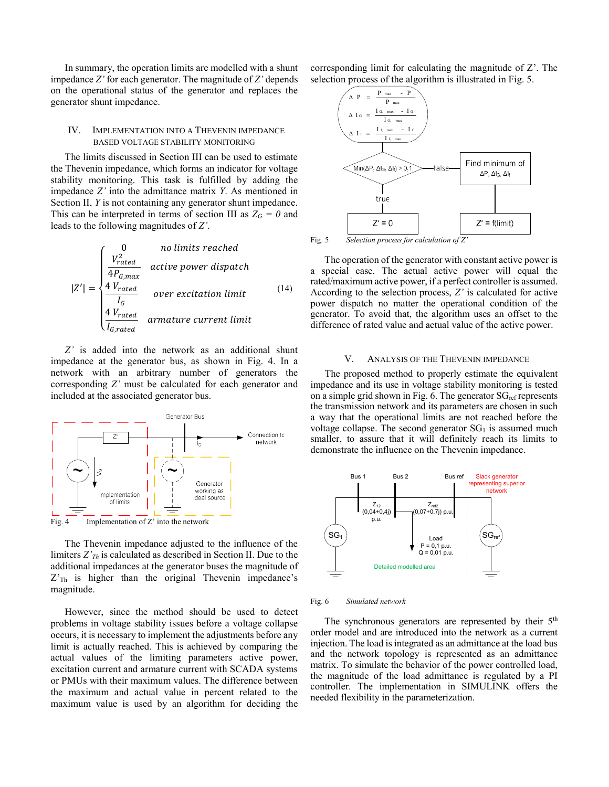In summary, the operation limits are modelled with a shunt impedance  $Z'$  for each generator. The magnitude of  $Z'$  depends on the operational status of the generator and replaces the generator shunt impedance.

# IV. IMPLEMENTATION INTO A THEVENIN IMPEDANCE BASED VOLTAGE STABILITY MONITORING

The limits discussed in Section III can be used to estimate the Thevenin impedance, which forms an indicator for voltage stability monitoring. This task is fulfilled by adding the impedance  $Z'$  into the admittance matrix  $Y$ . As mentioned in Section II, Y is not containing any generator shunt impedance. This can be interpreted in terms of section III as  $Z_G = 0$  and leads to the following magnitudes of Z'.

$$
|Z'| = \begin{cases} 0 & \text{no limits reached} \\ \frac{V_{rated}^2}{4P_{G,max}} & \text{active power dispatch} \\ \frac{4 V_{rated}}{I_G} & \text{over excitation limit} \\ \frac{4 V_{rated}}{I_{G,rated}} & \text{armature current limit} \end{cases}
$$
 (14)

Z' is added into the network as an additional shunt impedance at the generator bus, as shown in Fig. 4. In a network with an arbitrary number of generators the corresponding Z' must be calculated for each generator and included at the associated generator bus.



The Thevenin impedance adjusted to the influence of the limiters  $Z'_{\tau h}$  is calculated as described in Section II. Due to the additional impedances at the generator buses the magnitude of  $Z<sub>Th</sub>$  is higher than the original Thevenin impedance's magnitude.

However, since the method should be used to detect problems in voltage stability issues before a voltage collapse occurs, it is necessary to implement the adjustments before any limit is actually reached. This is achieved by comparing the actual values of the limiting parameters active power, excitation current and armature current with SCADA systems or PMUs with their maximum values. The difference between the maximum and actual value in percent related to the maximum value is used by an algorithm for deciding the corresponding limit for calculating the magnitude of Z'. The selection process of the algorithm is illustrated in Fig. 5.



Fig. 5 Selection process for calculation of Z

The operation of the generator with constant active power is a special case. The actual active power will equal the rated/maximum active power, if a perfect controller is assumed. According to the selection process, Z' is calculated for active power dispatch no matter the operational condition of the generator. To avoid that, the algorithm uses an offset to the difference of rated value and actual value of the active power.

#### V. ANALYSIS OF THE THEVENIN IMPEDANCE

The proposed method to properly estimate the equivalent impedance and its use in voltage stability monitoring is tested on a simple grid shown in Fig. 6. The generator  $SG_{ref}$  represents the transmission network and its parameters are chosen in such a way that the operational limits are not reached before the voltage collapse. The second generator  $SG<sub>1</sub>$  is assumed much smaller, to assure that it will definitely reach its limits to demonstrate the influence on the Thevenin impedance.



Fig. 6 Simulated network

The synchronous generators are represented by their  $5<sup>th</sup>$ order model and are introduced into the network as a current injection. The load is integrated as an admittance at the load bus and the network topology is represented as an admittance matrix. To simulate the behavior of the power controlled load, the magnitude of the load admittance is regulated by a PI controller. The implementation in SIMULINK offers the needed flexibility in the parameterization.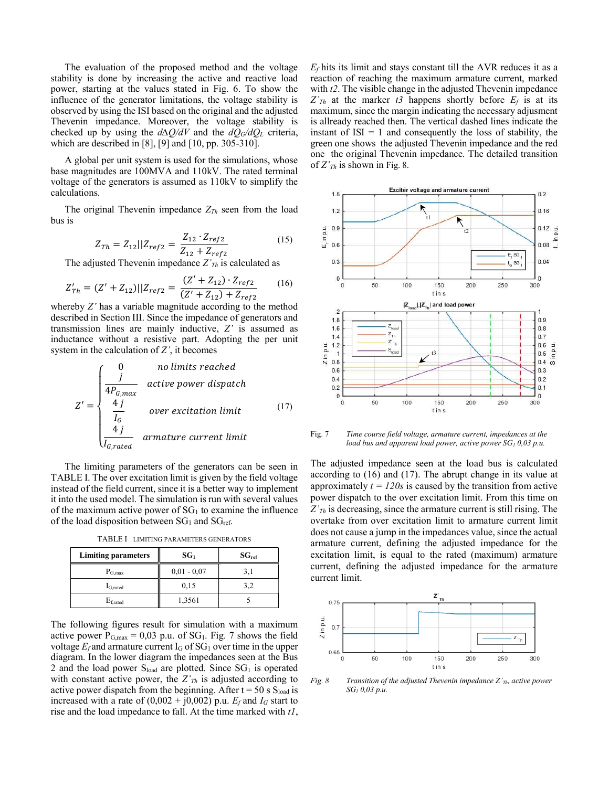The evaluation of the proposed method and the voltage stability is done by increasing the active and reactive load power, starting at the values stated in Fig. 6. To show the influence of the generator limitations, the voltage stability is observed by using the ISI based on the original and the adjusted Thevenin impedance. Moreover, the voltage stability is checked up by using the  $d\Delta Q/dV$  and the  $dQ_G/dQ_L$  criteria, which are described in [8], [9] and [10, pp. 305-310].

A global per unit system is used for the simulations, whose base magnitudes are 100MVA and 110kV. The rated terminal voltage of the generators is assumed as 110kV to simplify the calculations.

The original Thevenin impedance  $Z_{Th}$  seen from the load bus is

$$
Z_{Th} = Z_{12} || Z_{ref2} = \frac{Z_{12} \cdot Z_{ref2}}{Z_{12} + Z_{ref2}}
$$
 (15)

The adjusted Thevenin impedance  $Z'_{Th}$  is calculated as

$$
Z'_{Th} = (Z' + Z_{12})||Z_{ref2} = \frac{(Z' + Z_{12}) \cdot Z_{ref2}}{(Z' + Z_{12}) + Z_{ref2}}
$$
 (16)

whereby Z' has a variable magnitude according to the method described in Section III. Since the impedance of generators and transmission lines are mainly inductive, Z' is assumed as inductance without a resistive part. Adopting the per unit system in the calculation of  $Z'$ , it becomes

$$
Z' = \begin{cases} 0 & no limits reached \\ \frac{j}{4P_{G,max}} & active power dispatch \\ \frac{4j}{I_G} & over excitation limit \\ \frac{4j}{I_{G,rated}} & armature current limit \end{cases} (17)
$$

The limiting parameters of the generators can be seen in TABLE I. The over excitation limit is given by the field voltage instead of the field current, since it is a better way to implement it into the used model. The simulation is run with several values of the maximum active power of  $SG<sub>1</sub>$  to examine the influence of the load disposition between  $SG<sub>1</sub>$  and  $SG<sub>ref</sub>$ .

TABLE I LIMITING PARAMETERS GENERATORS

| <b>Limiting parameters</b> | SG <sub>1</sub> | $SG_{ref}$ |
|----------------------------|-----------------|------------|
| $P_{G,max}$                | $0,01 - 0,07$   | 3.1        |
| $I_{G,rated}$              | 0,15            | 3.2        |
| $E_{\rm{f,rated}}$         | 1,3561          |            |

The following figures result for simulation with a maximum active power  $P_{G,max} = 0.03$  p.u. of SG<sub>1</sub>. Fig. 7 shows the field voltage  $E_f$  and armature current  $I_G$  of SG<sub>1</sub> over time in the upper diagram. In the lower diagram the impedances seen at the Bus 2 and the load power  $S<sub>load</sub>$  are plotted. Since  $SG<sub>1</sub>$  is operated with constant active power, the  $Z'_{Th}$  is adjusted according to active power dispatch from the beginning. After  $t = 50$  s  $S<sub>load</sub>$  is increased with a rate of  $(0,002 + j0,002)$  p.u.  $E_f$  and  $I_G$  start to rise and the load impedance to fall. At the time marked with  $t$ ,  $E_f$  hits its limit and stays constant till the AVR reduces it as a reaction of reaching the maximum armature current, marked with  $t2$ . The visible change in the adjusted Thevenin impedance  $Z^{\prime}_{Th}$  at the marker t3 happens shortly before  $E_f$  is at its maximum, since the margin indicating the necessary adjusment is allready reached then. The vertical dashed lines indicate the instant of  $ISI = 1$  and consequently the loss of stability, the green one shows the adjusted Thevenin impedance and the red one the original Thevenin impedance. The detailed transition of  $Z'_{Th}$  is shown in Fig. 8.



Fig. 7 Time course field voltage, armature current, impedances at the load bus and apparent load power, active power  $SG<sub>1</sub> 0,03 p.u.$ 

The adjusted impedance seen at the load bus is calculated according to (16) and (17). The abrupt change in its value at approximately  $t = 120s$  is caused by the transition from active power dispatch to the over excitation limit. From this time on  $Z'_{Th}$  is decreasing, since the armature current is still rising. The overtake from over excitation limit to armature current limit does not cause a jump in the impedances value, since the actual armature current, defining the adjusted impedance for the excitation limit, is equal to the rated (maximum) armature current, defining the adjusted impedance for the armature current limit.



Fig. 8 Transition of the adjusted Thevenin impedance  $Z'_{Th}$ , active power SG1 0,03 p.u.